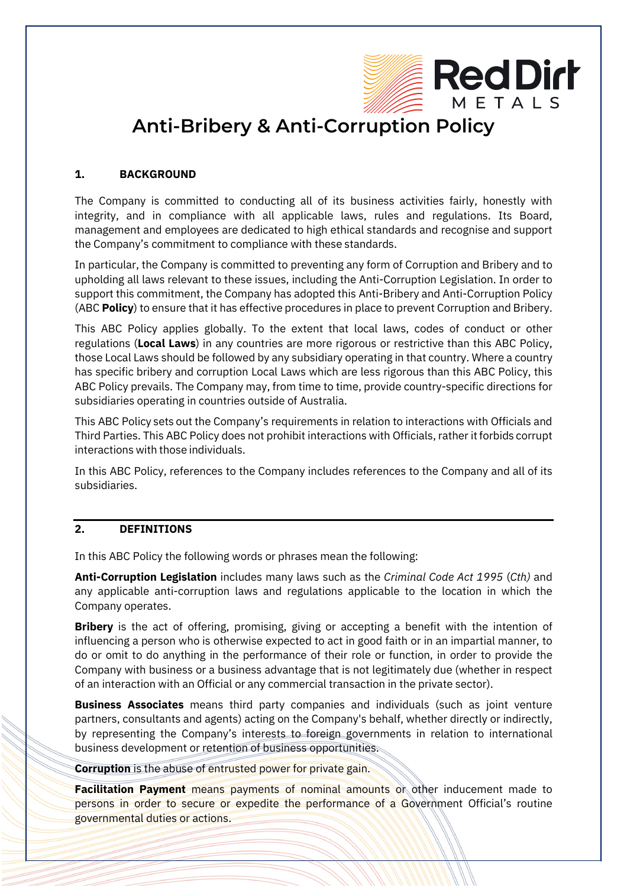

# **Anti-Bribery & Anti-Corruption Policy**

### **1. BACKGROUND**

The Company is committed to conducting all of its business activities fairly, honestly with integrity, and in compliance with all applicable laws, rules and regulations. Its Board, management and employees are dedicated to high ethical standards and recognise and support the Company's commitment to compliance with these standards.

In particular, the Company is committed to preventing any form of Corruption and Bribery and to upholding all laws relevant to these issues, including the Anti-Corruption Legislation. In order to support this commitment, the Company has adopted this Anti-Bribery and Anti-Corruption Policy (ABC **Policy**) to ensure that it has effective procedures in place to prevent Corruption and Bribery.

This ABC Policy applies globally. To the extent that local laws, codes of conduct or other regulations (**Local Laws**) in any countries are more rigorous or restrictive than this ABC Policy, those Local Laws should be followed by any subsidiary operating in that country. Where a country has specific bribery and corruption Local Laws which are less rigorous than this ABC Policy, this ABC Policy prevails. The Company may, from time to time, provide country-specific directions for subsidiaries operating in countries outside of Australia.

This ABC Policy sets out the Company's requirements in relation to interactions with Officials and Third Parties. This ABC Policy does not prohibit interactions with Officials, rather itforbids corrupt interactions with those individuals.

In this ABC Policy, references to the Company includes references to the Company and all of its subsidiaries.

### **2. DEFINITIONS**

In this ABC Policy the following words or phrases mean the following:

**Anti-Corruption Legislation** includes many laws such as the *Criminal Code Act 1995* (*Cth)* and any applicable anti-corruption laws and regulations applicable to the location in which the Company operates.

**Bribery** is the act of offering, promising, giving or accepting a benefit with the intention of influencing a person who is otherwise expected to act in good faith or in an impartial manner, to do or omit to do anything in the performance of their role or function, in order to provide the Company with business or a business advantage that is not legitimately due (whether in respect of an interaction with an Official or any commercial transaction in the private sector).

**Business Associates** means third party companies and individuals (such as joint venture partners, consultants and agents) acting on the Company's behalf, whether directly or indirectly, by representing the Company's interests to foreign governments in relation to international business development or retention of business opportunities.

**Corruption** is the abuse of entrusted power for private gain.

**Facilitation Payment** means payments of nominal amounts or other inducement made to persons in order to secure or expedite the performance of a Government Official's routine governmental duties or actions.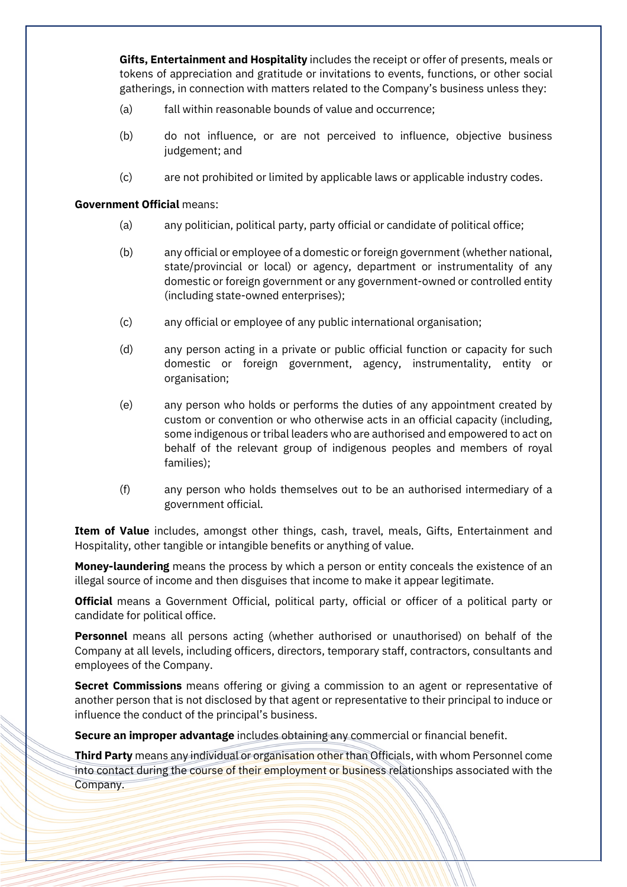**Gifts, Entertainment and Hospitality** includes the receipt or offer of presents, meals or tokens of appreciation and gratitude or invitations to events, functions, or other social gatherings, in connection with matters related to the Company's business unless they:

- (a) fall within reasonable bounds of value and occurrence;
- (b) do not influence, or are not perceived to influence, objective business judgement; and
- (c) are not prohibited or limited by applicable laws or applicable industry codes.

#### **Government Official** means:

- (a) any politician, political party, party official or candidate of political office;
- (b) any official or employee of a domestic or foreign government (whether national, state/provincial or local) or agency, department or instrumentality of any domestic or foreign government or any government-owned or controlled entity (including state-owned enterprises);
- (c) any official or employee of any public international organisation;
- (d) any person acting in a private or public official function or capacity for such domestic or foreign government, agency, instrumentality, entity or organisation;
- (e) any person who holds or performs the duties of any appointment created by custom or convention or who otherwise acts in an official capacity (including, some indigenous or tribal leaders who are authorised and empowered to act on behalf of the relevant group of indigenous peoples and members of royal families);
- (f) any person who holds themselves out to be an authorised intermediary of a government official.

**Item of Value** includes, amongst other things, cash, travel, meals, Gifts, Entertainment and Hospitality, other tangible or intangible benefits or anything of value.

**Money-laundering** means the process by which a person or entity conceals the existence of an illegal source of income and then disguises that income to make it appear legitimate.

**Official** means a Government Official, political party, official or officer of a political party or candidate for political office.

**Personnel** means all persons acting (whether authorised or unauthorised) on behalf of the Company at all levels, including officers, directors, temporary staff, contractors, consultants and employees of the Company.

**Secret Commissions** means offering or giving a commission to an agent or representative of another person that is not disclosed by that agent or representative to their principal to induce or influence the conduct of the principal's business.

**Secure an improper advantage** includes obtaining any commercial or financial benefit.

**Third Party** means any individual or organisation other than Officials, with whom Personnel come into contact during the course of their employment or business relationships associated with the Company.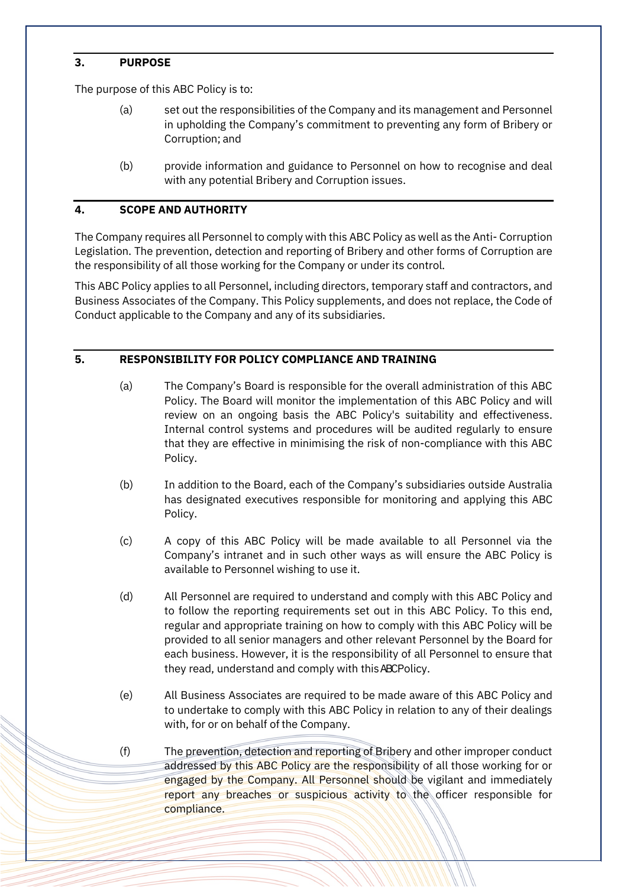## **3. PURPOSE**

The purpose of this ABC Policy is to:

- (a) set out the responsibilities of the Company and its management and Personnel in upholding the Company's commitment to preventing any form of Bribery or Corruption; and
- (b) provide information and guidance to Personnel on how to recognise and deal with any potential Bribery and Corruption issues.

## **4. SCOPE AND AUTHORITY**

The Company requires all Personnel to comply with this ABC Policy as well as the Anti- Corruption Legislation. The prevention, detection and reporting of Bribery and other forms of Corruption are the responsibility of all those working for the Company or under its control.

This ABC Policy applies to all Personnel, including directors, temporary staff and contractors, and Business Associates of the Company. This Policy supplements, and does not replace, the Code of Conduct applicable to the Company and any of its subsidiaries.

## **5. RESPONSIBILITY FOR POLICY COMPLIANCE AND TRAINING**

- (a) The Company's Board is responsible for the overall administration of this ABC Policy. The Board will monitor the implementation of this ABC Policy and will review on an ongoing basis the ABC Policy's suitability and effectiveness. Internal control systems and procedures will be audited regularly to ensure that they are effective in minimising the risk of non-compliance with this ABC Policy.
- (b) In addition to the Board, each of the Company's subsidiaries outside Australia has designated executives responsible for monitoring and applying this ABC Policy.
- (c) A copy of this ABC Policy will be made available to all Personnel via the Company's intranet and in such other ways as will ensure the ABC Policy is available to Personnel wishing to use it.
- (d) All Personnel are required to understand and comply with this ABC Policy and to follow the reporting requirements set out in this ABC Policy. To this end, regular and appropriate training on how to comply with this ABC Policy will be provided to all senior managers and other relevant Personnel by the Board for each business. However, it is the responsibility of all Personnel to ensure that they read, understand and comply with this ABC Policy.
- (e) All Business Associates are required to be made aware of this ABC Policy and to undertake to comply with this ABC Policy in relation to any of their dealings with, for or on behalf of the Company.
- (f) The prevention, detection and reporting of Bribery and other improper conduct addressed by this ABC Policy are the responsibility of all those working for or engaged by the Company. All Personnel should be vigilant and immediately report any breaches or suspicious activity to the officer responsible for compliance.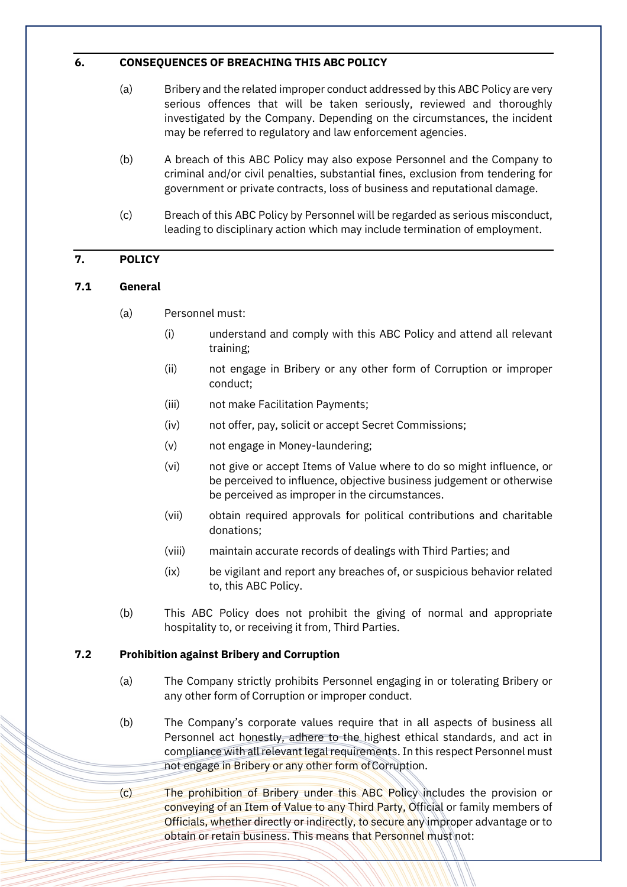#### **6. CONSEQUENCES OF BREACHING THIS ABC POLICY**

- (a) Bribery and the related improper conduct addressed by this ABC Policy are very serious offences that will be taken seriously, reviewed and thoroughly investigated by the Company. Depending on the circumstances, the incident may be referred to regulatory and law enforcement agencies.
- (b) A breach of this ABC Policy may also expose Personnel and the Company to criminal and/or civil penalties, substantial fines, exclusion from tendering for government or private contracts, loss of business and reputational damage.
- (c) Breach of this ABC Policy by Personnel will be regarded as serious misconduct, leading to disciplinary action which may include termination of employment.

## **7. POLICY**

### **7.1 General**

- (a) Personnel must:
	- (i) understand and comply with this ABC Policy and attend all relevant training;
	- (ii) not engage in Bribery or any other form of Corruption or improper conduct;
	- (iii) not make Facilitation Payments;
	- (iv) not offer, pay, solicit or accept Secret Commissions;
	- (v) not engage in Money-laundering;
	- (vi) not give or accept Items of Value where to do so might influence, or be perceived to influence, objective business judgement or otherwise be perceived as improper in the circumstances.
	- (vii) obtain required approvals for political contributions and charitable donations;
	- (viii) maintain accurate records of dealings with Third Parties; and
	- (ix) be vigilant and report any breaches of, or suspicious behavior related to, this ABC Policy.
- (b) This ABC Policy does not prohibit the giving of normal and appropriate hospitality to, or receiving it from, Third Parties.

### **7.2 Prohibition against Bribery and Corruption**

- (a) The Company strictly prohibits Personnel engaging in or tolerating Bribery or any other form of Corruption or improper conduct.
- (b) The Company's corporate values require that in all aspects of business all Personnel act honestly, adhere to the highest ethical standards, and act in compliance with all relevant legal requirements. In this respect Personnel must not engage in Bribery or any other form of Corruption.
- (c) The prohibition of Bribery under this ABC Policy includes the provision or conveying of an Item of Value to any Third Party, Official or family members of Officials, whether directly or indirectly, to secure any improper advantage or to obtain or retain business. This means that Personnel must not: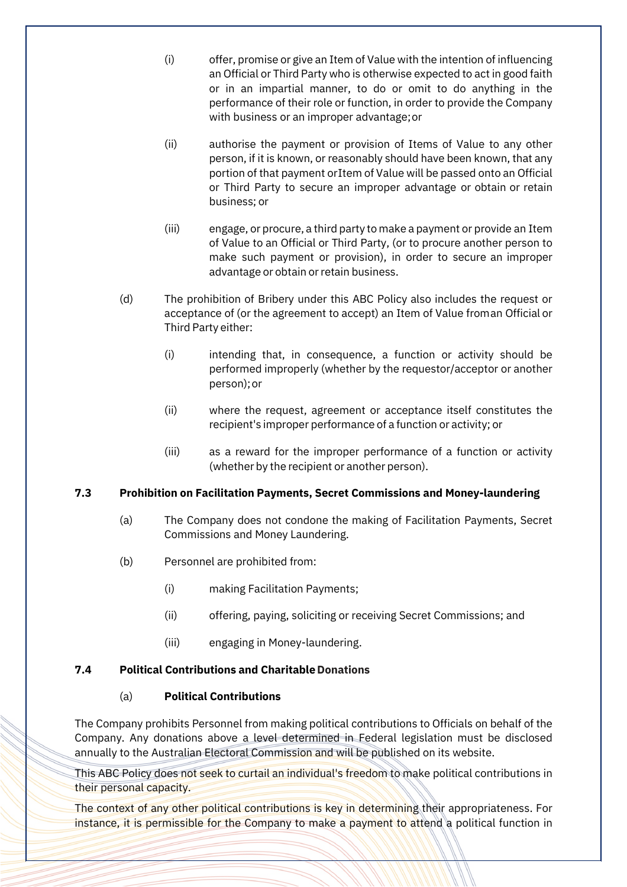- (i) offer, promise or give an Item of Value with the intention of influencing an Official or Third Party who is otherwise expected to act in good faith or in an impartial manner, to do or omit to do anything in the performance of their role or function, in order to provide the Company with business or an improper advantage;or
- (ii) authorise the payment or provision of Items of Value to any other person, if it is known, or reasonably should have been known, that any portion of that payment or Item of Value will be passed onto an Official or Third Party to secure an improper advantage or obtain or retain business; or
- (iii) engage, or procure, a third party to make a payment or provide an Item of Value to an Official or Third Party, (or to procure another person to make such payment or provision), in order to secure an improper advantage or obtain or retain business.
- (d) The prohibition of Bribery under this ABC Policy also includes the request or acceptance of (or the agreement to accept) an Item of Value froman Official or Third Party either:
	- (i) intending that, in consequence, a function or activity should be performed improperly (whether by the requestor/acceptor or another person);or
	- (ii) where the request, agreement or acceptance itself constitutes the recipient's improper performance of a function or activity; or
	- (iii) as a reward for the improper performance of a function or activity (whether by the recipient or another person).

### **7.3 Prohibition on Facilitation Payments, Secret Commissions and Money-laundering**

- (a) The Company does not condone the making of Facilitation Payments, Secret Commissions and Money Laundering.
- (b) Personnel are prohibited from:
	- (i) making Facilitation Payments;
	- (ii) offering, paying, soliciting or receiving Secret Commissions; and
	- (iii) engaging in Money-laundering.

### **7.4 Political Contributions and CharitableDonations**

### (a) **Political Contributions**

The Company prohibits Personnel from making political contributions to Officials on behalf of the Company. Any donations above a level determined in Federal legislation must be disclosed annually to the Australian Electoral Commission and will be published on its website.

This ABC Policy does not seek to curtail an individual's freedom to make political contributions in their personal capacity.

The context of any other political contributions is key in determining their appropriateness. For instance, it is permissible for the Company to make a payment to attend a political function in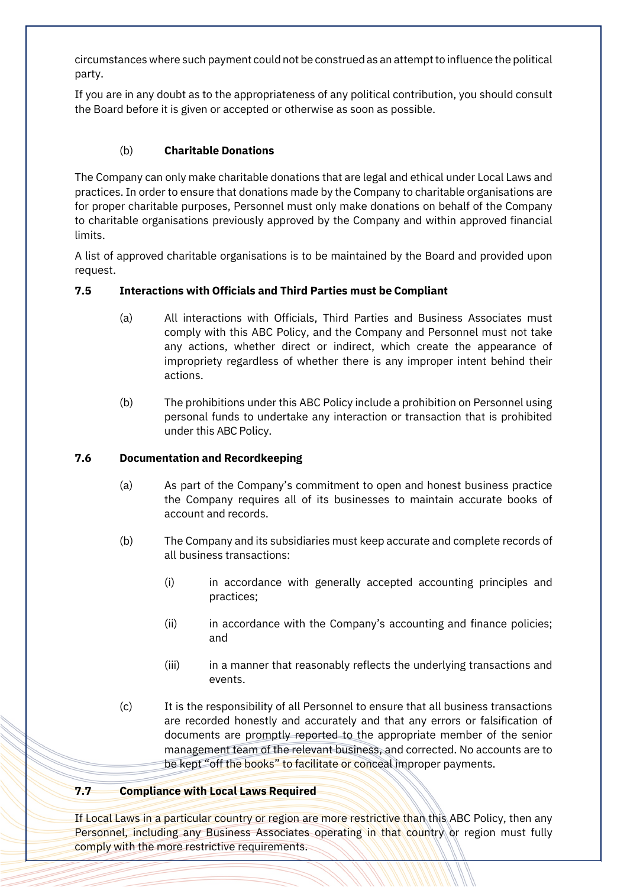circumstances where such payment could not be construed as an attemptto influence the political party.

If you are in any doubt as to the appropriateness of any political contribution, you should consult the Board before it is given or accepted or otherwise as soon as possible.

## (b) **Charitable Donations**

The Company can only make charitable donations that are legal and ethical under Local Laws and practices. In order to ensure that donations made by the Company to charitable organisations are for proper charitable purposes, Personnel must only make donations on behalf of the Company to charitable organisations previously approved by the Company and within approved financial limits.

A list of approved charitable organisations is to be maintained by the Board and provided upon request.

## **7.5 Interactions with Officials and Third Parties must be Compliant**

- (a) All interactions with Officials, Third Parties and Business Associates must comply with this ABC Policy, and the Company and Personnel must not take any actions, whether direct or indirect, which create the appearance of impropriety regardless of whether there is any improper intent behind their actions.
- (b) The prohibitions under this ABC Policy include a prohibition on Personnel using personal funds to undertake any interaction or transaction that is prohibited under this ABC Policy.

### **7.6 Documentation and Recordkeeping**

- (a) As part of the Company's commitment to open and honest business practice the Company requires all of its businesses to maintain accurate books of account and records.
- (b) The Company and its subsidiaries must keep accurate and complete records of all business transactions:
	- (i) in accordance with generally accepted accounting principles and practices;
	- (ii) in accordance with the Company's accounting and finance policies; and
	- (iii) in a manner that reasonably reflects the underlying transactions and events.
- (c) It is the responsibility of all Personnel to ensure that all business transactions are recorded honestly and accurately and that any errors or falsification of documents are promptly reported to the appropriate member of the senior management team of the relevant business, and corrected. No accounts are to be kept "off the books" to facilitate or conceal improper payments.

## **7.7 Compliance with Local Laws Required**

If Local Laws in a particular country or region are more restrictive than this ABC Policy, then any Personnel, including any Business Associates operating in that country or region must fully comply with the more restrictive requirements.